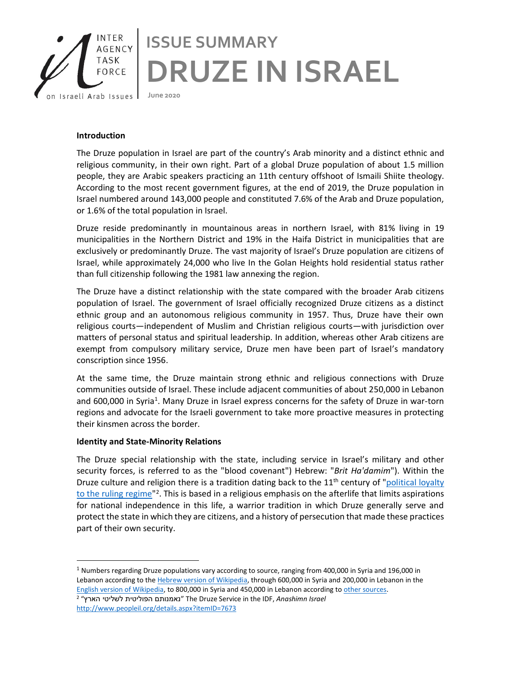

## **Introduction**

The Druze population in Israel are part of the country's Arab minority and a distinct ethnic and religious community, in their own right. Part of a global Druze population of about 1.5 million people, they are Arabic speakers practicing an 11th century offshoot of Ismaili Shiite theology. According to the most recent government figures, at the end of 2019, the Druze population in Israel numbered around 143,000 people and constituted 7.6% of the Arab and Druze population, or 1.6% of the total population in Israel.

Druze reside predominantly in mountainous areas in northern Israel, with 81% living in 19 municipalities in the Northern District and 19% in the Haifa District in municipalities that are exclusively or predominantly Druze. The vast majority of Israel's Druze population are citizens of Israel, while approximately 24,000 who live In the Golan Heights hold residential status rather than full citizenship following the 1981 law annexing the region.

The Druze have a distinct relationship with the state compared with the broader Arab citizens population of Israel. The government of Israel officially recognized Druze citizens as a distinct ethnic group and an autonomous religious community in 1957. Thus, Druze have their own religious courts—independent of Muslim and Christian religious courts—with jurisdiction over matters of personal status and spiritual leadership. In addition, whereas other Arab citizens are exempt from compulsory military service, Druze men have been part of Israel's mandatory conscription since 1956.

At the same time, the Druze maintain strong ethnic and religious connections with Druze communities outside of Israel. These include adjacent communities of about 250,000 in Lebanon and 600,000 in Syria<sup>1</sup>. Many Druze in Israel express concerns for the safety of Druze in war-torn regions and advocate for the Israeli government to take more proactive measures in protecting their kinsmen across the border.

## **Identity and State-Minority Relations**

The Druze special relationship with the state, including service in Israel's military and other security forces, is referred to as the "blood covenant") Hebrew: "*Brit Ha'damim*"). Within the Druze culture and religion there is a tradition dating back to the  $11<sup>th</sup>$  century of "political loyalty to the ruling regime<sup>"2</sup>. This is based in a religious emphasis on the afterlife that limits aspirations for national independence in this life, a warrior tradition in which Druze generally serve and protect the state in which they are citizens, and a history of persecution that made these practices part of their own security.

 $1$  Numbers regarding Druze populations vary according to source, ranging from 400,000 in Syria and 196,000 in Lebanon according to the [Hebrew version of Wikipedia,](https://he.wikipedia.org/wiki/%D7%93%D7%A8%D7%95%D7%96%D7%99%D7%9D) through 600,000 in Syria and 200,000 in Lebanon in the [English version of Wikipedia,](https://en.wikipedia.org/wiki/Druze) to 800,000 in Syria and 450,000 in Lebanon according to [other sources.](https://www.myjewishlearning.com/article/druze-in-israel/) <sup>2</sup> "הארץ לשליטי הפוליטית נאמנותם "The Druze Service in the IDF, *Anashimn Israel* <http://www.peopleil.org/details.aspx?itemID=7673>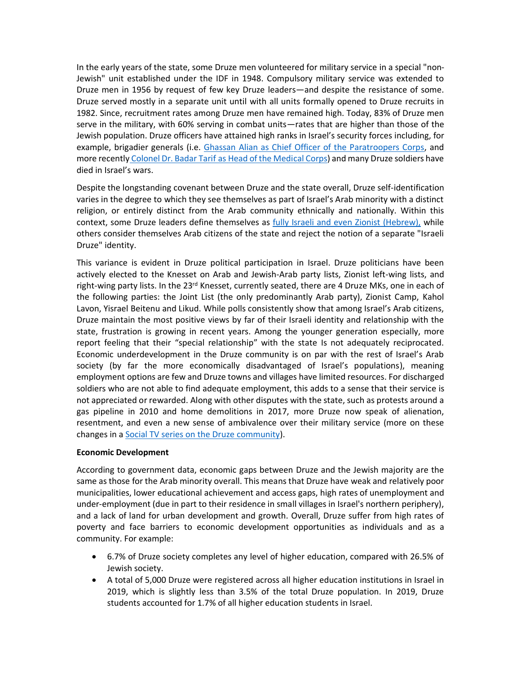In the early years of the state, some Druze men volunteered for military service in a special "non-Jewish" unit established under the IDF in 1948. Compulsory military service was extended to Druze men in 1956 by request of few key Druze leaders—and despite the resistance of some. Druze served mostly in a separate unit until with all units formally opened to Druze recruits in 1982. Since, recruitment rates among Druze men have remained high. Today, 83% of Druze men serve in the military, with 60% serving in combat units—rates that are higher than those of the Jewish population. Druze officers have attained high ranks in Israel's security forces including, for example, brigadier generals (i.e. [Ghassan Alian as Chief Officer of the Paratroopers Corps,](https://en.wikipedia.org/wiki/Ghassan_Alian) and more recently Colonel Dr. Badar Tarif [as Head of the Medical Corps\)](https://www.israelnationalnews.com/News/News.aspx/214807) and many Druze soldiers have died in Israel's wars.

Despite the longstanding covenant between Druze and the state overall, Druze self-identification varies in the degree to which they see themselves as part of Israel's Arab minority with a distinct religion, or entirely distinct from the Arab community ethnically and nationally. Within this context, some Druze leaders define themselves as fully [Israeli and even Zionist \(Hebrew\),](https://he.wikipedia.org/wiki/%D7%94%D7%AA%D7%A0%D7%95%D7%A2%D7%94_%D7%94%D7%93%D7%A8%D7%95%D7%96%D7%99%D7%AA_%D7%94%D7%A6%D7%99%D7%95%D7%A0%D7%99%D7%AA) while others consider themselves Arab citizens of the state and reject the notion of a separate "Israeli Druze" identity.

This variance is evident in Druze political participation in Israel. Druze politicians have been actively elected to the Knesset on Arab and Jewish-Arab party lists, Zionist left-wing lists, and right-wing party lists. In the 23<sup>rd</sup> Knesset, currently seated, there are 4 Druze MKs, one in each of the following parties: the Joint List (the only predominantly Arab party), Zionist Camp, Kahol Lavon, Yisrael Beitenu and Likud. While polls consistently show that among Israel's Arab citizens, Druze maintain the most positive views by far of their Israeli identity and relationship with the state, frustration is growing in recent years. Among the younger generation especially, more report feeling that their "special relationship" with the state Is not adequately reciprocated. Economic underdevelopment in the Druze community is on par with the rest of Israel's Arab society (by far the more economically disadvantaged of Israel's populations), meaning employment options are few and Druze towns and villages have limited resources. For discharged soldiers who are not able to find adequate employment, this adds to a sense that their service is not appreciated or rewarded. Along with other disputes with the state, such as protests around a gas pipeline in 2010 and home demolitions in 2017, more Druze now speak of alienation, resentment, and even a new sense of ambivalence over their military service (more on these changes in [a Social TV series on the Druze community\)](http://www.iataskforce.org/resources/view/1312).

## **Economic Development**

According to government data, economic gaps between Druze and the Jewish majority are the same as those for the Arab minority overall. This means that Druze have weak and relatively poor municipalities, lower educational achievement and access gaps, high rates of unemployment and under-employment (due in part to their residence in small villages in Israel's northern periphery), and a lack of land for urban development and growth. Overall, Druze suffer from high rates of poverty and face barriers to economic development opportunities as individuals and as a community. For example:

- 6.7% of Druze society completes any level of higher education, compared with 26.5% of Jewish society.
- A total of 5,000 Druze were registered across all higher education institutions in Israel in 2019, which is slightly less than 3.5% of the total Druze population. In 2019, Druze students accounted for 1.7% of all higher education students in Israel.